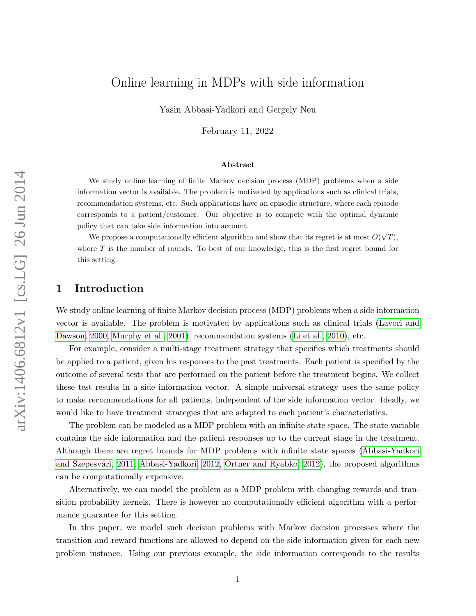# Online learning in MDPs with side information

Yasin Abbasi-Yadkori and Gergely Neu

February 11, 2022

#### Abstract

We study online learning of finite Markov decision process (MDP) problems when a side information vector is available. The problem is motivated by applications such as clinical trials, recommendation systems, etc. Such applications have an episodic structure, where each episode corresponds to a patient/customer. Our objective is to compete with the optimal dynamic policy that can take side information into account.

We propose a computationally efficient algorithm and show that its regret is at most  $O(\sqrt{T})$ , where  $T$  is the number of rounds. To best of our knowledge, this is the first regret bound for this setting.

## 1 Introduction

We study online learning of finite Markov decision process (MDP) problems when a side information vector is available. The problem is motivated by applications such as clinical trials [\(Lavori and](#page-11-0) [Dawson, 2000,](#page-11-0) [Murphy et al., 2001\)](#page-11-1), recommendation systems [\(Li et al., 2010\)](#page-11-2), etc.

For example, consider a multi-stage treatment strategy that specifies which treatments should be applied to a patient, given his responses to the past treatments. Each patient is specified by the outcome of several tests that are performed on the patient before the treatment begins. We collect these test results in a side information vector. A simple universal strategy uses the same policy to make recommendations for all patients, independent of the side information vector. Ideally, we would like to have treatment strategies that are adapted to each patient's characteristics.

The problem can be modeled as a MDP problem with an infinite state space. The state variable contains the side information and the patient responses up to the current stage in the treatment. Although there are regret bounds for MDP problems with infinite state spaces [\(Abbasi-Yadkori](#page-11-3) and Szepesvári, 2011, [Abbasi-Yadkori, 2012,](#page-11-4) [Ortner and Ryabko, 2012\)](#page-12-0), the proposed algorithms can be computationally expensive.

Alternatively, we can model the problem as a MDP problem with changing rewards and transition probability kernels. There is however no computationally efficient algorithm with a performance guarantee for this setting.

In this paper, we model such decision problems with Markov decision processes where the transition and reward functions are allowed to depend on the side information given for each new problem instance. Using our previous example, the side information corresponds to the results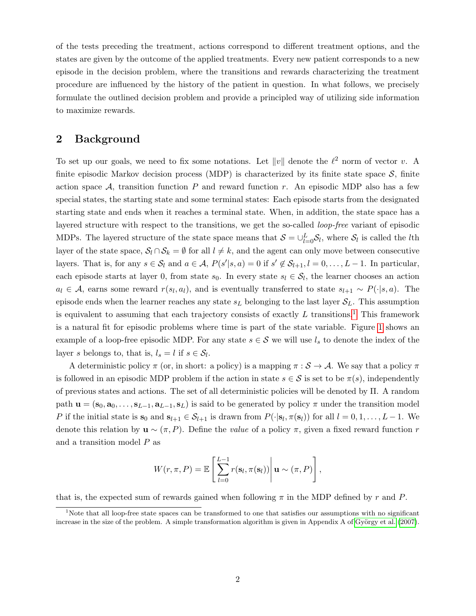of the tests preceding the treatment, actions correspond to different treatment options, and the states are given by the outcome of the applied treatments. Every new patient corresponds to a new episode in the decision problem, where the transitions and rewards characterizing the treatment procedure are influenced by the history of the patient in question. In what follows, we precisely formulate the outlined decision problem and provide a principled way of utilizing side information to maximize rewards.

### 2 Background

To set up our goals, we need to fix some notations. Let  $||v||$  denote the  $\ell^2$  norm of vector v. A finite episodic Markov decision process (MDP) is characterized by its finite state space  $S$ , finite action space A, transition function P and reward function r. An episodic MDP also has a few special states, the starting state and some terminal states: Each episode starts from the designated starting state and ends when it reaches a terminal state. When, in addition, the state space has a layered structure with respect to the transitions, we get the so-called loop-free variant of episodic MDPs. The layered structure of the state space means that  $S = \bigcup_{l=0}^{L} S_l$ , where  $S_l$  is called the *l*th layer of the state space,  $S_l \cap S_k = \emptyset$  for all  $l \neq k$ , and the agent can only move between consecutive layers. That is, for any  $s \in \mathcal{S}_l$  and  $a \in \mathcal{A}$ ,  $P(s'|s, a) = 0$  if  $s' \notin \mathcal{S}_{l+1}, l = 0, \ldots, L-1$ . In particular, each episode starts at layer 0, from state  $s_0$ . In every state  $s_l \in S_l$ , the learner chooses an action  $a_l \in \mathcal{A}$ , earns some reward  $r(s_l, a_l)$ , and is eventually transferred to state  $s_{l+1} \sim P(\cdot | s, a)$ . The episode ends when the learner reaches any state  $s<sub>L</sub>$  belonging to the last layer  $\mathcal{S}_L$ . This assumption is equivalent to assuming that each trajectory consists of exactly  $L$  transitions.<sup>[1](#page-1-0)</sup> This framework is a natural fit for episodic problems where time is part of the state variable. Figure [1](#page-2-0) shows an example of a loop-free episodic MDP. For any state  $s \in S$  we will use  $l_s$  to denote the index of the layer s belongs to, that is,  $l_s = l$  if  $s \in S_l$ .

A deterministic policy  $\pi$  (or, in short: a policy) is a mapping  $\pi : \mathcal{S} \to \mathcal{A}$ . We say that a policy  $\pi$ is followed in an episodic MDP problem if the action in state  $s \in S$  is set to be  $\pi(s)$ , independently of previous states and actions. The set of all deterministic policies will be denoted by Π. A random path  $\mathbf{u} = (\mathbf{s}_0, \mathbf{a}_0, \dots, \mathbf{s}_{L-1}, \mathbf{a}_{L-1}, \mathbf{s}_L)$  is said to be generated by policy  $\pi$  under the transition model P if the initial state is  $\mathbf{s}_0$  and  $\mathbf{s}_{l+1} \in \mathcal{S}_{l+1}$  is drawn from  $P(\cdot | \mathbf{s}_l, \pi(\mathbf{s}_l))$  for all  $l = 0, 1, ..., L-1$ . We denote this relation by  $\mathbf{u} \sim (\pi, P)$ . Define the value of a policy  $\pi$ , given a fixed reward function r and a transition model P as

$$
W(r, \pi, P) = \mathbb{E}\left[\sum_{l=0}^{L-1} r(\mathbf{s}_l, \pi(\mathbf{s}_l)) \middle| \mathbf{u} \sim (\pi, P)\right],
$$

that is, the expected sum of rewards gained when following  $\pi$  in the MDP defined by r and P.

<span id="page-1-0"></span> $1$ Note that all loop-free state spaces can be transformed to one that satisfies our assumptions with no significant increase in the size of the problem. A simple transformation algorithm is given in Appendix A of György et al.  $(2007)$ .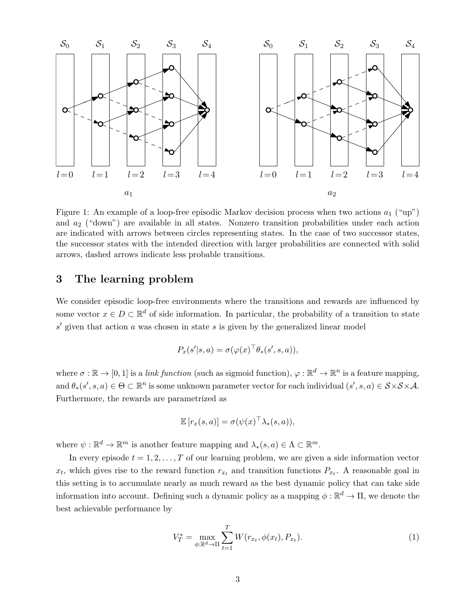

<span id="page-2-0"></span>Figure 1: An example of a loop-free episodic Markov decision process when two actions  $a_1$  ("up") and  $a_2$  ("down") are available in all states. Nonzero transition probabilities under each action are indicated with arrows between circles representing states. In the case of two successor states, the successor states with the intended direction with larger probabilities are connected with solid arrows, dashed arrows indicate less probable transitions.

## 3 The learning problem

We consider episodic loop-free environments where the transitions and rewards are influenced by some vector  $x \in D \subset \mathbb{R}^d$  of side information. In particular, the probability of a transition to state  $s'$  given that action a was chosen in state s is given by the generalized linear model

$$
P_x(s'|s, a) = \sigma(\varphi(x)^\top \theta_*(s', s, a)),
$$

where  $\sigma : \mathbb{R} \to [0, 1]$  is a *link function* (such as sigmoid function),  $\varphi : \mathbb{R}^d \to \mathbb{R}^n$  is a feature mapping, and  $\theta_*(s', s, a) \in \Theta \subset \mathbb{R}^n$  is some unknown parameter vector for each individual  $(s', s, a) \in S \times S \times A$ . Furthermore, the rewards are parametrized as

$$
\mathbb{E}\left[r_x(s,a)\right] = \sigma(\psi(x)^\top \lambda_*(s,a)),
$$

where  $\psi : \mathbb{R}^d \to \mathbb{R}^m$  is another feature mapping and  $\lambda_*(s, a) \in \Lambda \subset \mathbb{R}^m$ .

In every episode  $t = 1, 2, \ldots, T$  of our learning problem, we are given a side information vector  $x_t$ , which gives rise to the reward function  $r_{x_t}$  and transition functions  $P_{x_t}$ . A reasonable goal in this setting is to accumulate nearly as much reward as the best dynamic policy that can take side information into account. Defining such a dynamic policy as a mapping  $\phi : \mathbb{R}^d \to \Pi$ , we denote the best achievable performance by

<span id="page-2-1"></span>
$$
V_T^* = \max_{\phi: \mathbb{R}^d \to \Pi} \sum_{t=1}^T W(r_{x_t}, \phi(x_t), P_{x_t}).
$$
\n(1)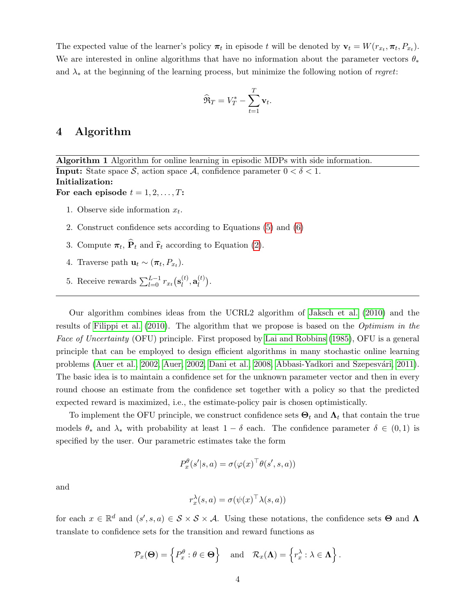The expected value of the learner's policy  $\pi_t$  in episode t will be denoted by  $\mathbf{v}_t = W(r_{x_t}, \pi_t, P_{x_t})$ . We are interested in online algorithms that have no information about the parameter vectors  $\theta_*$ and  $\lambda_*$  at the beginning of the learning process, but minimize the following notion of regret:

$$
\widehat{\mathfrak{R}}_T = V_T^* - \sum_{t=1}^T \mathbf{v}_t.
$$

## 4 Algorithm

Algorithm 1 Algorithm for online learning in episodic MDPs with side information. **Input:** State space S, action space A, confidence parameter  $0 < \delta < 1$ . Initialization: For each episode  $t = 1, 2, \ldots, T$ :

- 1. Observe side information  $x_t$ .
- 2. Construct confidence sets according to Equations [\(5\)](#page-4-0) and [\(6\)](#page-4-1)
- 3. Compute  $\pi_t$ ,  $P_t$  and  $\hat{\mathbf{r}}_t$  according to Equation [\(2\)](#page-4-2).
- 4. Traverse path  $\mathbf{u}_t \sim (\boldsymbol{\pi}_t, P_{x_t}).$
- 5. Receive rewards  $\sum_{l=0}^{L-1} r_{x_t}(\mathbf{s}_l^{(t)})$  $_{l}^{\left( t\right) },\mathbf{a}_{l}^{\left( t\right) }$  $\binom{t}{l}$ .

Our algorithm combines ideas from the UCRL2 algorithm of [Jaksch et al.](#page-11-6) [\(2010\)](#page-11-6) and the results of [Filippi et al.](#page-11-7) [\(2010\)](#page-11-7). The algorithm that we propose is based on the Optimism in the Face of Uncertainty (OFU) principle. First proposed by [Lai and Robbins](#page-11-8) [\(1985\)](#page-11-8), OFU is a general principle that can be employed to design efficient algorithms in many stochastic online learning problems [\(Auer et al., 2002,](#page-11-9) [Auer, 2002,](#page-11-10) [Dani et al., 2008,](#page-11-11) Abbasi-Yadkori and Szepesvári, 2011). The basic idea is to maintain a confidence set for the unknown parameter vector and then in every round choose an estimate from the confidence set together with a policy so that the predicted expected reward is maximized, i.e., the estimate-policy pair is chosen optimistically.

To implement the OFU principle, we construct confidence sets  $\Theta_t$  and  $\Lambda_t$  that contain the true models  $\theta_*$  and  $\lambda_*$  with probability at least  $1 - \delta$  each. The confidence parameter  $\delta \in (0,1)$  is specified by the user. Our parametric estimates take the form

$$
P_x^{\theta}(s'|s, a) = \sigma(\varphi(x)^{\top} \theta(s', s, a))
$$

and

$$
r_x^{\lambda}(s, a) = \sigma(\psi(x)^{\top} \lambda(s, a))
$$

for each  $x \in \mathbb{R}^d$  and  $(s', s, a) \in S \times S \times A$ . Using these notations, the confidence sets  $\Theta$  and  $\Lambda$ translate to confidence sets for the transition and reward functions as

$$
\mathcal{P}_x(\mathbf{\Theta}) = \left\{ P_x^{\theta} : \theta \in \mathbf{\Theta} \right\} \quad \text{and} \quad \mathcal{R}_x(\mathbf{\Lambda}) = \left\{ r_x^{\lambda} : \lambda \in \mathbf{\Lambda} \right\}.
$$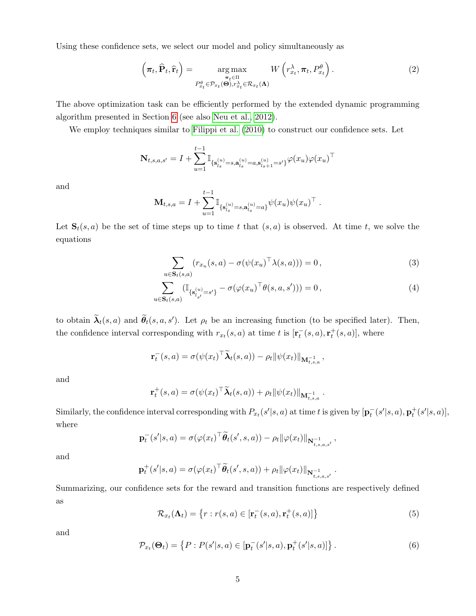Using these confidence sets, we select our model and policy simultaneously as

<span id="page-4-2"></span>
$$
\left(\boldsymbol{\pi}_t, \widehat{\mathbf{P}}_t, \widehat{\mathbf{r}}_t\right) = \underset{\substack{\boldsymbol{\pi}_t \in \Pi \\ P_{x_t}^{\theta} \in \mathcal{P}_{x_t}(\boldsymbol{\Theta}), r_{x_t}^{\lambda} \in \mathcal{R}_{x_t}(\boldsymbol{\Lambda})}}{\arg \max} W\left(r_{x_t}^{\lambda}, \boldsymbol{\pi}_t, P_{x_t}^{\theta}\right).
$$
\n(2)

The above optimization task can be efficiently performed by the extended dynamic programming algorithm presented in Section [6](#page-9-0) (see also [Neu et al., 2012\)](#page-12-1).

We employ techniques similar to [Filippi et al.](#page-11-7) [\(2010\)](#page-11-7) to construct our confidence sets. Let

$$
\mathbf{N}_{t,s,a,s'} = I + \sum_{u=1}^{t-1} \mathbb{I}_{\{\mathbf{s}_{l_s}^{(u)} = s, \mathbf{a}_{l_s}^{(u)} = a, \mathbf{s}_{l_s+1}^{(u)} = s'\}} \varphi(x_u) \varphi(x_u)^\top
$$

and

$$
\mathbf{M}_{t,s,a} = I + \sum_{u=1}^{t-1} \mathbb{I}_{\{\mathbf{s}_{l_s}^{(u)} = s, \mathbf{a}_{l_s}^{(u)} = a\}} \psi(x_u) \psi(x_u)^\top.
$$

Let  $S_t(s, a)$  be the set of time steps up to time t that  $(s, a)$  is observed. At time t, we solve the equations

<span id="page-4-4"></span><span id="page-4-3"></span>
$$
\sum_{u \in \mathbf{S}_t(s,a)} (r_{x_u}(s,a) - \sigma(\psi(x_u)^\top \lambda(s,a))) = 0,
$$
\n(3)

$$
\sum_{u \in \mathbf{S}_t(s,a)} (\mathbb{I}_{\{\mathbf{s}_{l_{s'}}^{(u)} = s'\}} - \sigma(\varphi(x_u)^\top \theta(s,a,s'))) = 0, \qquad (4)
$$

to obtain  $\tilde{\lambda}_t(s, a)$  and  $\tilde{\theta}_t(s, a, s')$ . Let  $\rho_t$  be an increasing function (to be specified later). Then, the confidence interval corresponding with  $r_{x_t}(s, a)$  at time t is  $[\mathbf{r}_t^-(s, a), \mathbf{r}_t^+(s, a)]$ , where

$$
\mathbf{r}_t^-(s,a) = \sigma(\psi(x_t)^\top \widetilde{\boldsymbol{\lambda}}_t(s,a)) - \rho_t \|\psi(x_t)\|_{\mathbf{M}_{t,s,a}^{-1}},
$$

and

$$
\mathbf{r}_t^+(s,a) = \sigma(\psi(x_t)^\top \widetilde{\boldsymbol{\lambda}}_t(s,a)) + \rho_t \|\psi(x_t)\|_{\mathbf{M}_{t,s,a}^{-1}}.
$$

Similarly, the confidence interval corresponding with  $P_{x_t}(s'|s, a)$  at time t is given by  $[\mathbf{p}_t^-(s'|s, a), \mathbf{p}_t^+(s'|s, a)],$ where

$$
\mathbf{p}_t^-(s'|s,a) = \sigma(\varphi(x_t)^\top \widetilde{\boldsymbol{\theta}}_t(s',s,a)) - \rho_t ||\varphi(x_t)||_{\mathbf{N}_{t,s,a,s'}^{-1}},
$$

and

$$
\mathbf{p}_t^+(s'|s,a) = \sigma(\varphi(x_t)^\top \widetilde{\boldsymbol{\theta}}_t(s',s,a)) + \rho_t \|\varphi(x_t)\|_{\mathbf{N}_{t,s,a,s'}^{-1}}.
$$

<span id="page-4-0"></span>Summarizing, our confidence sets for the reward and transition functions are respectively defined as

$$
\mathcal{R}_{x_t}(\mathbf{\Lambda}_t) = \left\{ r : r(s, a) \in [\mathbf{r}_t^-(s, a), \mathbf{r}_t^+(s, a)] \right\}
$$
(5)

<span id="page-4-1"></span>and

$$
\mathcal{P}_{x_t}(\Theta_t) = \left\{ P : P(s'|s, a) \in \left[ \mathbf{p}_t^-(s'|s, a), \mathbf{p}_t^+(s'|s, a) \right] \right\}.
$$
 (6)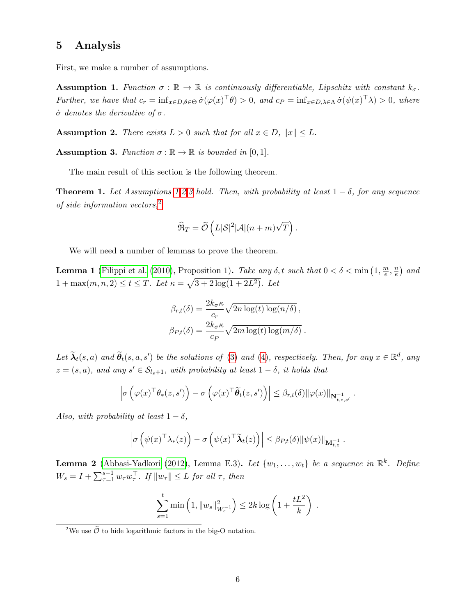### 5 Analysis

<span id="page-5-0"></span>First, we make a number of assumptions.

**Assumption 1.** Function  $\sigma : \mathbb{R} \to \mathbb{R}$  is continuously differentiable, Lipschitz with constant  $k_{\sigma}$ . Further, we have that  $c_r = \inf_{x \in D, \theta \in \Theta} \dot{\sigma}(\varphi(x)^{\top} \theta) > 0$ , and  $c_P = \inf_{x \in D, \lambda \in \Lambda} \dot{\sigma}(\psi(x)^{\top} \lambda) > 0$ , where  $\dot{\sigma}$  denotes the derivative of  $\sigma$ .

<span id="page-5-1"></span>**Assumption 2.** There exists  $L > 0$  such that for all  $x \in D$ ,  $||x|| \leq L$ .

<span id="page-5-2"></span>**Assumption 3.** Function  $\sigma : \mathbb{R} \to \mathbb{R}$  is bounded in [0, 1].

The main result of this section is the following theorem.

<span id="page-5-4"></span>**Theorem [1](#page-5-0).** Let Assumptions 1[,2,](#page-5-1)[3](#page-5-2) hold. Then, with probability at least  $1 - \delta$ , for any sequence of side information vectors,[2](#page-5-3)

$$
\widehat{\mathfrak{R}}_T = \widetilde{\mathcal{O}}\left(L|\mathcal{S}|^2|\mathcal{A}|(n+m)\sqrt{T}\right).
$$

We will need a number of lemmas to prove the theorem.

<span id="page-5-5"></span>**Lemma 1** [\(Filippi et al.](#page-11-7) [\(2010\)](#page-11-7), Proposition 1). Take any  $\delta$ , t such that  $0 < \delta < \min\left(1, \frac{m}{e}\right)$  $\frac{n}{e}$ ,  $\frac{n}{e}$  $\frac{n}{e}$ ) and  $1 + \max(m, n, 2) \le t \le T$ . Let  $\kappa = \sqrt{3 + 2 \log(1 + 2L^2)}$ . Let

$$
\beta_{r,t}(\delta) = \frac{2k_{\sigma}\kappa}{c_r} \sqrt{2n \log(t) \log(n/\delta)},
$$
  

$$
\beta_{P,t}(\delta) = \frac{2k_{\sigma}\kappa}{c_P} \sqrt{2m \log(t) \log(m/\delta)}.
$$

Let  $\widetilde{\lambda}_t(s, a)$  and  $\widetilde{\theta}_t(s, a, s')$  be the solutions of [\(3\)](#page-4-3) and [\(4\)](#page-4-4), respectively. Then, for any  $x \in \mathbb{R}^d$ , any  $z = (s, a)$ , and any  $s' \in S_{l_s+1}$ , with probability at least  $1 - \delta$ , it holds that

$$
\left|\sigma\left(\varphi(x)^{\top}\theta_{*}(z,s')\right)-\sigma\left(\varphi(x)^{\top}\widetilde{\theta}_{t}(z,s')\right)\right|\leq \beta_{r,t}(\delta)\|\varphi(x)\|_{\mathbf{N}_{t,z,s'}^{-1}}.
$$

Also, with probability at least  $1 - \delta$ ,

$$
\left|\sigma\left(\psi(x)^\top\lambda_*(z)\right)-\sigma\left(\psi(x)^\top\widetilde{\boldsymbol{\lambda}}_t(z)\right)\right|\leq \beta_{P,t}(\delta)\|\psi(x)\|_{\mathbf{M}_{t,z}^{-1}}.
$$

<span id="page-5-6"></span>**Lemma 2** [\(Abbasi-Yadkori](#page-11-4) [\(2012\)](#page-11-4), Lemma E.3). Let  $\{w_1, \ldots, w_t\}$  be a sequence in  $\mathbb{R}^k$ . Define  $W_s = I + \sum_{\tau=1}^{s-1} w_{\tau} w_{\tau}^{\top}$ . If  $||w_{\tau}|| \leq L$  for all  $\tau$ , then

$$
\sum_{s=1}^{t} \min\left(1, \|w_s\|_{W_s^{-1}}^2\right) \le 2k \log\left(1 + \frac{tL^2}{k}\right) .
$$

<span id="page-5-3"></span><sup>&</sup>lt;sup>2</sup>We use  $\tilde{\mathcal{O}}$  to hide logarithmic factors in the big-O notation.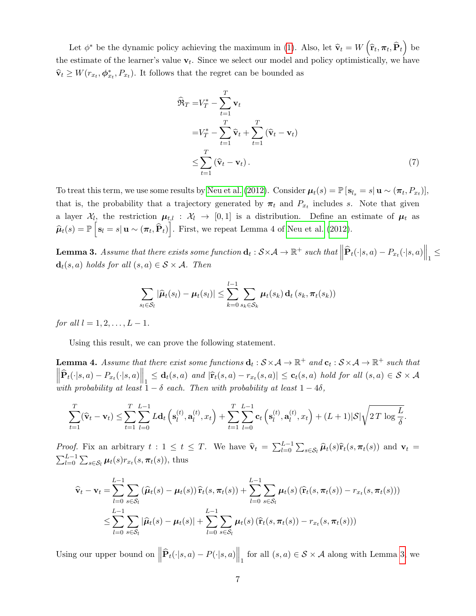Let  $\phi^*$  be the dynamic policy achieving the maximum in [\(1\)](#page-2-1). Also, let  $\hat{\mathbf{v}}_t = W\left(\hat{\mathbf{r}}_t, \boldsymbol{\pi}_t, \hat{\mathbf{P}}_t\right)$  be the estimate of the learner's value  $v_t$ . Since we select our model and policy optimistically, we have  $\widehat{\mathbf{v}}_t \geq W(r_{x_t}, \boldsymbol{\phi}_{x_t}^*, P_{x_t})$ . It follows that the regret can be bounded as

<span id="page-6-2"></span>
$$
\widehat{\mathbf{R}}_T = V_T^* - \sum_{t=1}^T \mathbf{v}_t
$$
\n
$$
= V_T^* - \sum_{t=1}^T \widehat{\mathbf{v}}_t + \sum_{t=1}^T (\widehat{\mathbf{v}}_t - \mathbf{v}_t)
$$
\n
$$
\leq \sum_{t=1}^T (\widehat{\mathbf{v}}_t - \mathbf{v}_t).
$$
\n(7)

To treat this term, we use some results by [Neu et al.](#page-12-1) [\(2012\)](#page-12-1). Consider  $\mu_t(s) = \mathbb{P} [s_{l_s} = s | \mathbf{u} \sim (\pi_t, P_{x_t})],$ that is, the probability that a trajectory generated by  $\pi_t$  and  $P_{x_t}$  includes s. Note that given a layer  $\mathcal{X}_{l}$ , the restriction  $\mu_{t,l} : \mathcal{X}_{l} \to [0,1]$  is a distribution. Define an estimate of  $\mu_t$  as  $\hat{\boldsymbol{\mu}}_t(s) = \mathbb{P}\left[\mathbf{s}_l = s | \mathbf{u} \sim (\boldsymbol{\pi}_t, \widehat{\mathbf{P}}_t)\right]$ . First, we repeat Lemma 4 of [Neu et al.](#page-12-1) [\(2012\)](#page-12-1).

<span id="page-6-0"></span>**Lemma 3.** Assume that there exists some function  $\mathbf{d}_t : S \times A \to \mathbb{R}^+$  such that  $\left\| \widehat{\mathbf{P}}_t(\cdot|s, a) - P_{x_t}(\cdot|s, a) \right\|_1 \le$  $\mathbf{d}_t(s, a)$  holds for all  $(s, a) \in \mathcal{S} \times \mathcal{A}$ . Then

$$
\sum_{s_l \in \mathcal{S}_l} |\widehat{\mu}_t(s_l) - \mu_t(s_l)| \leq \sum_{k=0}^{l-1} \sum_{s_k \in \mathcal{S}_k} \mu_t(s_k) \mathbf{d}_t(s_k, \pi_t(s_k))
$$

for all  $l = 1, 2, ..., L - 1$ .

Using this result, we can prove the following statement.

<span id="page-6-1"></span>**Lemma 4.** Assume that there exist some functions  $\mathbf{d}_t : \mathcal{S} \times \mathcal{A} \to \mathbb{R}^+$  and  $\mathbf{c}_t : \mathcal{S} \times \mathcal{A} \to \mathbb{R}^+$  such that  $\left\|\widehat{\mathbf{P}}_t(\cdot|s,a) - P_{x_t}(\cdot|s,a)\right\|_1 \leq \mathbf{d}_t(s,a)$  and  $\left|\widehat{\mathbf{r}}_t(s,a) - r_{x_t}(s,a)\right| \leq \mathbf{c}_t(s,a)$  hold for all  $(s,a) \in \mathcal{S} \times \mathcal{A}$ with probability at least  $1 - \delta$  each. Then with probability at least  $1 - 4\delta$ ,

$$
\sum_{t=1}^{T} (\widehat{\mathbf{v}}_t - \mathbf{v}_t) \leq \sum_{t=1}^{T} \sum_{l=0}^{L-1} L \mathbf{d}_t \left( \mathbf{s}_l^{(t)}, \mathbf{a}_l^{(t)}, x_t \right) + \sum_{t=1}^{T} \sum_{l=0}^{L-1} \mathbf{c}_t \left( \mathbf{s}_l^{(t)}, \mathbf{a}_l^{(t)}, x_t \right) + (L+1)|\mathcal{S}|\sqrt{2T \log \frac{L}{\delta}}.
$$

Proof. Fix an arbitrary  $t : 1 \le t \le T$ . We have  $\hat{\mathbf{v}}_t = \sum_{l=0}^{L-1} \sum_{s \in S_l} \hat{\boldsymbol{\mu}}_t(s) \hat{\mathbf{r}}_t(s, \pi_t(s))$  and  $\mathbf{v}_t = \sum_{l=0}^{L-1} \sum_{s \in S_l} \mu_t(s) r_{x}(s, \pi_t(s))$ , thus  $\sum_{l=0}^{L-1} \sum_{s \in \mathcal{S}_l} \mu_t(s) r_{x_t}(s, \pi_t(s)),$  thus

$$
\widehat{\mathbf{v}}_t - \mathbf{v}_t = \sum_{l=0}^{L-1} \sum_{s \in \mathcal{S}_l} \left( \widehat{\boldsymbol{\mu}}_t(s) - \boldsymbol{\mu}_t(s) \right) \widehat{\mathbf{r}}_t(s, \pi_t(s)) + \sum_{l=0}^{L-1} \sum_{s \in \mathcal{S}_l} \boldsymbol{\mu}_t(s) \left( \widehat{\mathbf{r}}_t(s, \pi_t(s)) - r_{x_t}(s, \pi_t(s)) \right)
$$
\n
$$
\leq \sum_{l=0}^{L-1} \sum_{s \in \mathcal{S}_l} |\widehat{\boldsymbol{\mu}}_t(s) - \boldsymbol{\mu}_t(s)| + \sum_{l=0}^{L-1} \sum_{s \in \mathcal{S}_l} \boldsymbol{\mu}_t(s) \left( \widehat{\mathbf{r}}_t(s, \pi_t(s)) - r_{x_t}(s, \pi_t(s)) \right)
$$

Using our upper bound on  $\left\|\widehat{\mathbf{P}}_t(\cdot|s,a) - P(\cdot|s,a)\right\|_1$  for all  $(s,a) \in \mathcal{S} \times \mathcal{A}$  along with Lemma [3,](#page-6-0) we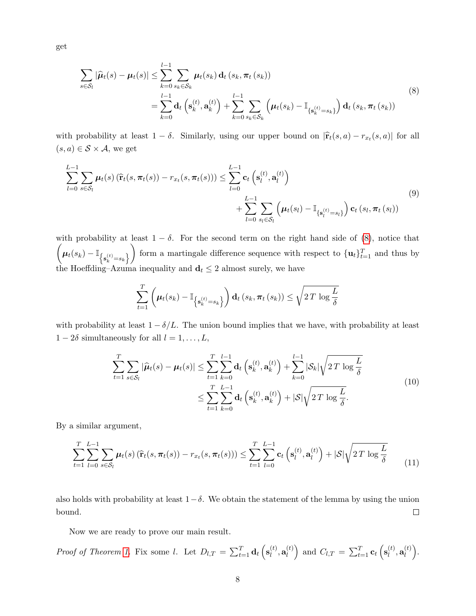<span id="page-7-0"></span>get

$$
\sum_{s \in S_l} |\widehat{\mu}_t(s) - \mu_t(s)| \leq \sum_{k=0}^{l-1} \sum_{s_k \in S_k} \mu_t(s_k) d_t(s_k, \pi_t(s_k))
$$
\n
$$
= \sum_{k=0}^{l-1} d_t \left( s_k^{(t)}, a_k^{(t)} \right) + \sum_{k=0}^{l-1} \sum_{s_k \in S_k} \left( \mu_t(s_k) - \mathbb{I}_{\{s_k^{(t)} = s_k\}} \right) d_t(s_k, \pi_t(s_k))
$$
\n(8)

with probability at least  $1 - \delta$ . Similarly, using our upper bound on  $|\hat{\mathbf{r}}_t(s, a) - r_{x_t}(s, a)|$  for all  $(s, a) \in \mathcal{S} \times \mathcal{A}$ , we get

$$
\sum_{l=0}^{L-1} \sum_{s \in \mathcal{S}_l} \mu_t(s) \left( \widehat{\mathbf{r}}_t(s, \pi_t(s)) - r_{x_t}(s, \pi_t(s)) \right) \le \sum_{l=0}^{L-1} \mathbf{c}_t \left( \mathbf{s}_l^{(t)}, \mathbf{a}_l^{(t)} \right) + \sum_{l=0}^{L-1} \sum_{s_l \in \mathcal{S}_l} \left( \mu_t(s_l) - \mathbb{I}_{\{\mathbf{s}_l^{(t)} = s_l\}} \right) \mathbf{c}_t \left( s_l, \pi_t \left( s_l \right) \right)
$$
\n(9)

with probability at least  $1 - \delta$ . For the second term on the right hand side of [\(8\)](#page-7-0), notice that  $\left( \boldsymbol{\mu}_t(s_k) - \mathbb{I}_{\left\{ \textbf{s}_k^{(t)} = s_k \right\}} \right)$ ) form a martingale difference sequence with respect to  $\{\mathbf{u}_t\}_{t=1}^T$  and thus by the Hoeffding–Azuma inequality and  $\mathbf{d}_t \leq 2$  almost surely, we have

$$
\sum_{t=1}^{T} \left(\boldsymbol{\mu}_t(s_k) - \mathbb{I}_{\left\{\mathbf{s}_k^{(t)} = s_k\right\}}\right) \mathbf{d}_t\left(s_k, \boldsymbol{\pi}_t\left(s_k\right)\right) \leq \sqrt{2\,T\,\log \frac{L}{\delta}}
$$

with probability at least  $1 - \delta/L$ . The union bound implies that we have, with probability at least  $1 - 2\delta$  simultaneously for all  $l = 1, \ldots, L$ ,

$$
\sum_{t=1}^{T} \sum_{s \in \mathcal{S}_l} |\widehat{\mu}_t(s) - \mu_t(s)| \leq \sum_{t=1}^{T} \sum_{k=0}^{l-1} \mathbf{d}_t \left( \mathbf{s}_k^{(t)}, \mathbf{a}_k^{(t)} \right) + \sum_{k=0}^{l-1} |\mathcal{S}_k| \sqrt{2T \log \frac{L}{\delta}}
$$
\n
$$
\leq \sum_{t=1}^{T} \sum_{k=0}^{L-1} \mathbf{d}_t \left( \mathbf{s}_k^{(t)}, \mathbf{a}_k^{(t)} \right) + |\mathcal{S}| \sqrt{2T \log \frac{L}{\delta}}.
$$
\n(10)

By a similar argument,

$$
\sum_{t=1}^{T} \sum_{l=0}^{L-1} \sum_{s \in \mathcal{S}_l} \mu_t(s) \left( \widehat{\mathbf{r}}_t(s, \pi_t(s)) - r_{x_t}(s, \pi_t(s)) \right) \le \sum_{t=1}^{T} \sum_{l=0}^{L-1} \mathbf{c}_t \left( \mathbf{s}_l^{(t)}, \mathbf{a}_l^{(t)} \right) + |\mathcal{S}| \sqrt{2T \log \frac{L}{\delta}} \tag{11}
$$

also holds with probability at least  $1-\delta$ . We obtain the statement of the lemma by using the union bound.  $\Box$ 

Now we are ready to prove our main result.

Proof of Theorem 1. Fix some l. Let 
$$
D_{l,T} = \sum_{t=1}^{T} \mathbf{d}_t \left( \mathbf{s}_l^{(t)}, \mathbf{a}_l^{(t)} \right)
$$
 and  $C_{l,T} = \sum_{t=1}^{T} \mathbf{c}_t \left( \mathbf{s}_l^{(t)}, \mathbf{a}_l^{(t)} \right)$ .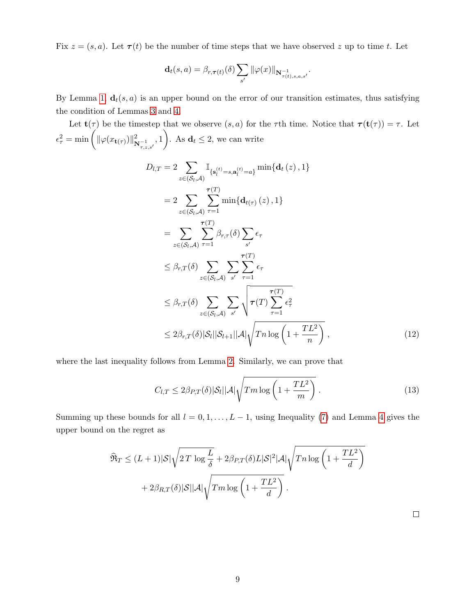Fix  $z = (s, a)$ . Let  $\tau(t)$  be the number of time steps that we have observed z up to time t. Let

$$
\mathbf{d}_t(s,a) = \beta_{r,\boldsymbol{\tau}(t)}(\delta) \sum_{s'} \|\varphi(x)\|_{\mathbf{N}_{\boldsymbol{\tau}(t),s,a,s'}^{-1}}.
$$

By Lemma [1,](#page-5-5)  $\mathbf{d}_t(s, a)$  is an upper bound on the error of our transition estimates, thus satisfying the condition of Lemmas [3](#page-6-0) and [4.](#page-6-1)

Let  $\mathbf{t}(\tau)$  be the timestep that we observe  $(s, a)$  for the  $\tau$ th time. Notice that  $\tau(\mathbf{t}(\tau)) = \tau$ . Let  $\epsilon_{\tau}^2 = \min\left(\|\varphi(x_{\mathbf{t}(\tau)})\|_{\mathbf{N}_{\tau,z,s'}^{-1}}^2, 1\right)$ . As  $\mathbf{d}_t \leq 2$ , we can write

$$
D_{l,T} = 2 \sum_{z \in (S_{l}, \mathcal{A})} \mathbb{I}_{\{\mathbf{s}_{l}^{(t)} = s, \mathbf{a}_{l}^{(t)} = a\}} \min\{\mathbf{d}_{t}(z), 1\}
$$
  
\n
$$
= 2 \sum_{z \in (S_{l}, \mathcal{A})} \sum_{\tau=1}^{\tau(T)} \min\{\mathbf{d}_{t(\tau)}(z), 1\}
$$
  
\n
$$
= \sum_{z \in (S_{l}, \mathcal{A})} \sum_{\tau=1}^{\tau(T)} \beta_{r,\tau}(\delta) \sum_{s'} \epsilon_{\tau}
$$
  
\n
$$
\leq \beta_{r,T}(\delta) \sum_{z \in (S_{l}, \mathcal{A})} \sum_{s'} \sum_{\tau=1}^{\tau(T)} \epsilon_{\tau}
$$
  
\n
$$
\leq \beta_{r,T}(\delta) \sum_{z \in (S_{l}, \mathcal{A})} \sum_{s'} \sqrt{\tau(T) \sum_{\tau=1}^{\tau(T)} \epsilon_{\tau}^{2}}
$$
  
\n
$$
\leq 2\beta_{r,T}(\delta) |\mathcal{S}_{l}| |\mathcal{S}_{l+1}| |\mathcal{A}| \sqrt{T n \log\left(1 + \frac{TL^{2}}{n}\right)},
$$
\n(12)

where the last inequality follows from Lemma [2.](#page-5-6) Similarly, we can prove that

$$
C_{l,T} \le 2\beta_{P,T}(\delta)|\mathcal{S}_l||\mathcal{A}|\sqrt{Tm\log\left(1+\frac{TL^2}{m}\right)}\,. \tag{13}
$$

Summing up these bounds for all  $l = 0, 1, \ldots, L - 1$ , using Inequality [\(7\)](#page-6-2) and Lemma [4](#page-6-1) gives the upper bound on the regret as

$$
\widehat{\mathfrak{R}}_T \le (L+1)|\mathcal{S}|\sqrt{2T \log \frac{L}{\delta}} + 2\beta_{P,T}(\delta)L|\mathcal{S}|^2|\mathcal{A}|\sqrt{Tn \log \left(1 + \frac{TL^2}{d}\right)}
$$

$$
+ 2\beta_{R,T}(\delta)|\mathcal{S}||\mathcal{A}|\sqrt{Tm \log \left(1 + \frac{TL^2}{d}\right)}.
$$

 $\Box$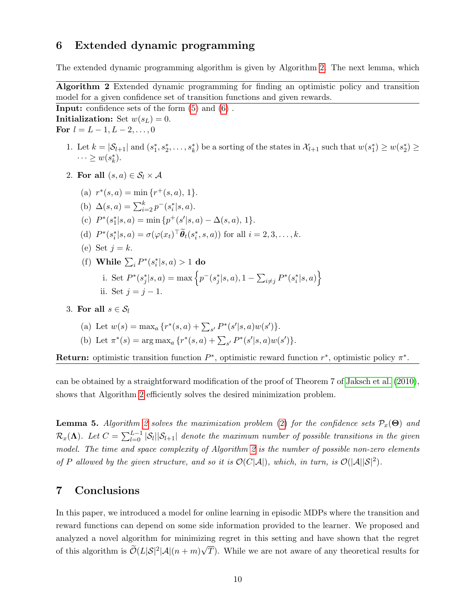### <span id="page-9-0"></span>6 Extended dynamic programming

The extended dynamic programming algorithm is given by Algorithm [2.](#page-9-1) The next lemma, which

<span id="page-9-1"></span>Algorithm 2 Extended dynamic programming for finding an optimistic policy and transition model for a given confidence set of transition functions and given rewards.

Input: confidence sets of the form [\(5\)](#page-4-0) and [\(6\)](#page-4-1) . Initialization: Set  $w(s_L) = 0$ . For  $l = L - 1, L - 2, \ldots, 0$ 

- 1. Let  $k = |\mathcal{S}_{l+1}|$  and  $(s_1^*, s_2^*, \ldots, s_k^*)$  be a sorting of the states in  $\mathcal{X}_{l+1}$  such that  $w(s_1^*) \geq w(s_2^*) \geq$  $\cdots \geq w(s_k^*).$
- 2. For all  $(s, a) \in \mathcal{S}_l \times \mathcal{A}$ 
	- (a)  $r^*(s, a) = \min\{r^+(s, a), 1\}.$
	- (b)  $\Delta(s, a) = \sum_{i=2}^{k} p^-(s_i^* | s, a).$
	- (c)  $P^*(s_1^*|s, a) = \min \{p^+(s'|s, a) \Delta(s, a), 1\}.$
	- (d)  $P^*(s_i^*|s, a) = \sigma(\varphi(x_t))^{\top} \tilde{\theta}_t(s_i^*, s, a)$  for all  $i = 2, 3, ..., k$ .
	- (e) Set  $j = k$ .
	- (f) While  $\sum_{i} P^{*}(s_{i}^{*}|s, a) > 1$  do i. Set  $P^*(s_j^*|s, a) = \max \left\{ p^-(s_j^*|s, a), 1 - \sum_{i \neq j} P^*(s_i^*|s, a) \right\}$ ii. Set  $j = j - 1$ .
- 3. For all  $s \in S_l$

(a) Let 
$$
w(s) = \max_a \{r^*(s, a) + \sum_{s'} P^*(s'|s, a)w(s')\}.
$$

(b) Let  $\pi^*(s) = \arg \max_a \{ r^*(s, a) + \sum_{s'} P^*(s'|s, a) w(s') \}.$ 

Return: optimistic transition function  $P^*$ , optimistic reward function  $r^*$ , optimistic policy  $\pi^*$ .

can be obtained by a straightforward modification of the proof of Theorem 7 of [Jaksch et al.](#page-11-6) [\(2010\)](#page-11-6), shows that Algorithm [2](#page-9-1) efficiently solves the desired minimization problem.

**Lemma 5.** Algorithm [2](#page-9-1) solves the maximization problem [\(2\)](#page-4-2) for the confidence sets  $\mathcal{P}_x(\Theta)$  and  $\mathcal{R}_x(\mathbf{\Lambda})$ . Let  $C = \sum_{l=0}^{L-1} |\mathcal{S}_l||\mathcal{S}_{l+1}|$  denote the maximum number of possible transitions in the given model. The time and space complexity of Algorithm [2](#page-9-1) is the number of possible non-zero elements of P allowed by the given structure, and so it is  $\mathcal{O}(C|\mathcal{A}|)$ , which, in turn, is  $\mathcal{O}(|\mathcal{A}||\mathcal{S}|^2)$ .

### 7 Conclusions

In this paper, we introduced a model for online learning in episodic MDPs where the transition and reward functions can depend on some side information provided to the learner. We proposed and analyzed a novel algorithm for minimizing regret in this setting and have shown that the regret of this algorithm is  $\tilde{\mathcal{O}}(L|\mathcal{S}|^2|\mathcal{A}|(n+m)\sqrt{T})$ . While we are not aware of any theoretical results for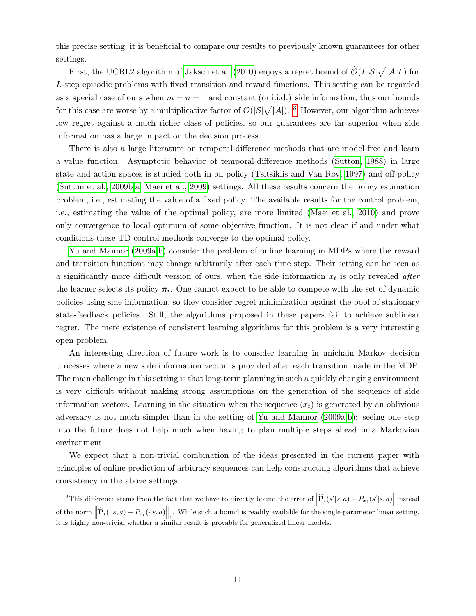this precise setting, it is beneficial to compare our results to previously known guarantees for other settings.

First, the UCRL2 algorithm of [Jaksch et al.](#page-11-6) [\(2010\)](#page-11-6) enjoys a regret bound of  $\widetilde{\mathcal{O}}(L|\mathcal{S}|\sqrt{|\mathcal{A}|T})$  for L-step episodic problems with fixed transition and reward functions. This setting can be regarded as a special case of ours when  $m = n = 1$  and constant (or i.i.d.) side information, thus our bounds for this case are worse by a multiplicative factor of  $\mathcal{O}(|S|\sqrt{|A|})$ . <sup>[3](#page-10-0)</sup> However, our algorithm achieves low regret against a much richer class of policies, so our guarantees are far superior when side information has a large impact on the decision process.

There is also a large literature on temporal-difference methods that are model-free and learn a value function. Asymptotic behavior of temporal-difference methods [\(Sutton, 1988\)](#page-12-2) in large state and action spaces is studied both in on-policy [\(Tsitsiklis and Van Roy, 1997\)](#page-12-3) and off-policy [\(Sutton et al., 2009b,](#page-12-4)[a,](#page-12-5) [Maei et al., 2009\)](#page-11-12) settings. All these results concern the policy estimation problem, i.e., estimating the value of a fixed policy. The available results for the control problem, i.e., estimating the value of the optimal policy, are more limited [\(Maei et al., 2010\)](#page-11-13) and prove only convergence to local optimum of some objective function. It is not clear if and under what conditions these TD control methods converge to the optimal policy.

[Yu and Mannor](#page-12-6) [\(2009a](#page-12-6)[,b\)](#page-12-7) consider the problem of online learning in MDPs where the reward and transition functions may change arbitrarily after each time step. Their setting can be seen as a significantly more difficult version of ours, when the side information  $x_t$  is only revealed *after* the learner selects its policy  $\pi_t$ . One cannot expect to be able to compete with the set of dynamic policies using side information, so they consider regret minimization against the pool of stationary state-feedback policies. Still, the algorithms proposed in these papers fail to achieve sublinear regret. The mere existence of consistent learning algorithms for this problem is a very interesting open problem.

An interesting direction of future work is to consider learning in unichain Markov decision processes where a new side information vector is provided after each transition made in the MDP. The main challenge in this setting is that long-term planning in such a quickly changing environment is very difficult without making strong assumptions on the generation of the sequence of side information vectors. Learning in the situation when the sequence  $(x_t)$  is generated by an oblivious adversary is not much simpler than in the setting of [Yu and Mannor](#page-12-6) [\(2009a,](#page-12-6)[b\)](#page-12-7): seeing one step into the future does not help much when having to plan multiple steps ahead in a Markovian environment.

We expect that a non-trivial combination of the ideas presented in the current paper with principles of online prediction of arbitrary sequences can help constructing algorithms that achieve consistency in the above settings.

<span id="page-10-0"></span><sup>&</sup>lt;sup>3</sup>This difference stems from the fact that we have to directly bound the error of  $\left| \widehat{\mathbf{P}}_t(s'|s, a) - P_{x_t}(s'|s, a) \right|$  instead of the norm  $\left\|\widehat{\mathbf{P}}_t(\cdot|s,a) - P_{x_t}(\cdot|s,a)\right\|_1$ . While such a bound is readily available for the single-parameter linear setting, it is highly non-trivial whether a similar result is provable for generalized linear models.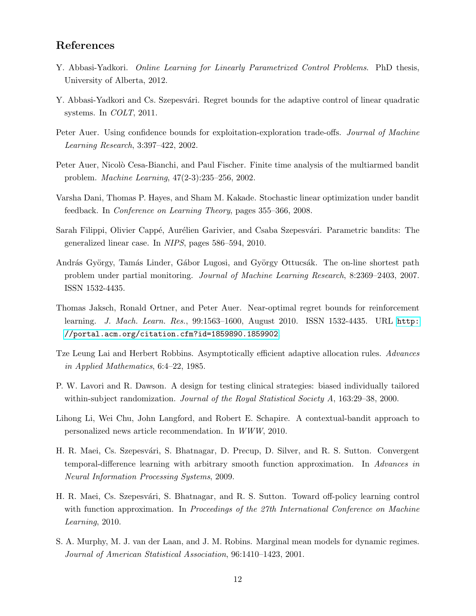## References

- <span id="page-11-4"></span>Y. Abbasi-Yadkori. *Online Learning for Linearly Parametrized Control Problems*. PhD thesis, University of Alberta, 2012.
- <span id="page-11-3"></span>Y. Abbasi-Yadkori and Cs. Szepesvári. Regret bounds for the adaptive control of linear quadratic systems. In COLT, 2011.
- <span id="page-11-10"></span>Peter Auer. Using confidence bounds for exploitation-exploration trade-offs. Journal of Machine Learning Research, 3:397–422, 2002.
- <span id="page-11-9"></span>Peter Auer, Nicolò Cesa-Bianchi, and Paul Fischer. Finite time analysis of the multiarmed bandit problem. Machine Learning, 47(2-3):235–256, 2002.
- <span id="page-11-11"></span>Varsha Dani, Thomas P. Hayes, and Sham M. Kakade. Stochastic linear optimization under bandit feedback. In Conference on Learning Theory, pages 355–366, 2008.
- <span id="page-11-7"></span>Sarah Filippi, Olivier Cappé, Aurélien Garivier, and Csaba Szepesvári. Parametric bandits: The generalized linear case. In NIPS, pages 586–594, 2010.
- <span id="page-11-5"></span>András György, Tamás Linder, Gábor Lugosi, and György Ottucsák. The on-line shortest path problem under partial monitoring. Journal of Machine Learning Research, 8:2369–2403, 2007. ISSN 1532-4435.
- <span id="page-11-6"></span>Thomas Jaksch, Ronald Ortner, and Peter Auer. Near-optimal regret bounds for reinforcement learning. J. Mach. Learn. Res., 99:1563–1600, August 2010. ISSN 1532-4435. URL [http:](http://portal.acm.org/citation.cfm?id=1859890.1859902) [//portal.acm.org/citation.cfm?id=1859890.1859902](http://portal.acm.org/citation.cfm?id=1859890.1859902).
- <span id="page-11-8"></span>Tze Leung Lai and Herbert Robbins. Asymptotically efficient adaptive allocation rules. Advances in Applied Mathematics, 6:4–22, 1985.
- <span id="page-11-0"></span>P. W. Lavori and R. Dawson. A design for testing clinical strategies: biased individually tailored within-subject randomization. *Journal of the Royal Statistical Society A*, 163:29–38, 2000.
- <span id="page-11-2"></span>Lihong Li, Wei Chu, John Langford, and Robert E. Schapire. A contextual-bandit approach to personalized news article recommendation. In WWW, 2010.
- <span id="page-11-12"></span>H. R. Maei, Cs. Szepesvári, S. Bhatnagar, D. Precup, D. Silver, and R. S. Sutton. Convergent temporal-difference learning with arbitrary smooth function approximation. In Advances in Neural Information Processing Systems, 2009.
- <span id="page-11-13"></span>H. R. Maei, Cs. Szepesvári, S. Bhatnagar, and R. S. Sutton. Toward off-policy learning control with function approximation. In Proceedings of the 27th International Conference on Machine Learning, 2010.
- <span id="page-11-1"></span>S. A. Murphy, M. J. van der Laan, and J. M. Robins. Marginal mean models for dynamic regimes. Journal of American Statistical Association, 96:1410–1423, 2001.